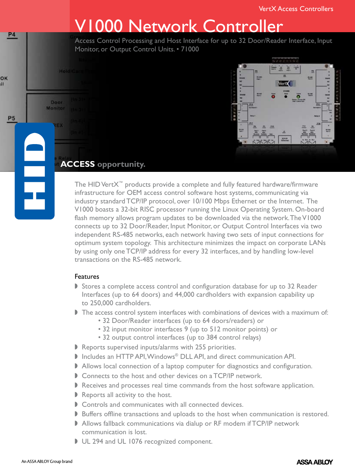# V1000 Network Controller

Access Control Processing and Host Interface for up to 32 Door/Reader Interface, Input Monitor, or Output Control Units. • 71000



### **ACCESS opportunity.**

HoldiCar

Door Monitor

**P4** 

OK

**P5** 

H

The HID VertX™ products provide a complete and fully featured hardware/firmware infrastructure for OEM access control software host systems, communicating via industry standard TCP/IP protocol, over 10/100 Mbps Ethernet or the Internet. The V1000 boasts a 32-bit RISC processor running the Linux Operating System. On-board flash memory allows program updates to be downloaded via the network. The V1000 connects up to 32 Door/Reader, Input Monitor, or Output Control Interfaces via two independent RS-485 networks, each network having two sets of input connections for optimum system topology. This architecture minimizes the impact on corporate LANs by using only one TCP/IP address for every 32 interfaces, and by handling low-level transactions on the RS-485 network.

#### Features

- Stores a complete access control and configuration database for up to 32 Reader Interfaces (up to 64 doors) and 44,000 cardholders with expansion capability up to 250,000 cardholders.
- $\blacktriangleright$  The access control system interfaces with combinations of devices with a maximum of:
	- 32 Door/Reader interfaces (up to 64 doors/readers) or
	- 32 input monitor interfaces 9 (up to 512 monitor points) or
	- 32 output control interfaces (up to 384 control relays)
- $\blacktriangleright$  Reports supervised inputs/alarms with 255 priorities.
- **Includes an HTTP API, Windows<sup>®</sup> DLL API, and direct communication API.**
- Allows local connection of a laptop computer for diagnostics and configuration.
- $\triangleright$  Connects to the host and other devices on a TCP/IP network.
- $\blacktriangleright$  Receives and processes real time commands from the host software application.
- $\blacktriangleright$  Reports all activity to the host.
- $\triangleright$  Controls and communicates with all connected devices.
- Buffers offline transactions and uploads to the host when communication is restored.
- Allows fallback communications via dialup or RF modem if TCP/IP network communication is lost.
- UL 294 and UL 1076 recognized component.